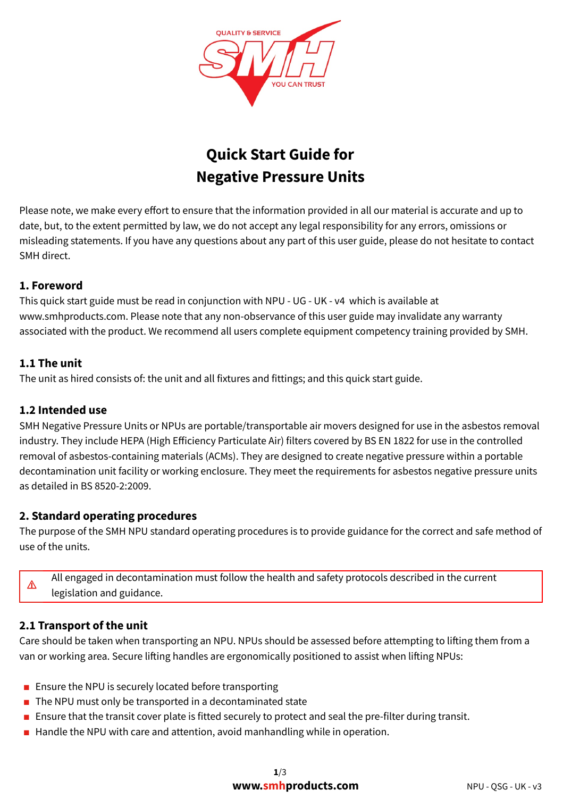

# Quick Start Guide for Negative Pressure Units

Please note, we make every effort to ensure that the information provided in all our material is accurate and up to date, but, to the extent permitted by law, we do not accept any legal responsibility for any errors, omissions or misleading statements. If you have any questions about any part of this user guide, please do not hesitate to contact SMH direct.

# 1. Foreword

This quick start guide must be read in conjunction with NPU - UG - UK - v4 which is available at www.smhproducts.com. Please note that any non-observance of this user guide may invalidate any warranty associated with the product. We recommend all users complete equipment competency training provided by SMH.

# 1.1 The unit

The unit as hired consists of: the unit and all fixtures and fittings; and this quick start guide.

# 1.2 Intended use

SMH Negative Pressure Units or NPUs are portable/transportable air movers designed for use in the asbestos removal industry. They include HEPA (High Efficiency Particulate Air) filters covered by BS EN 1822 for use in the controlled removal of asbestos-containing materials (ACMs). They are designed to create negative pressure within a portable decontamination unit facility or working enclosure. They meet the requirements for asbestos negative pressure units as detailed in BS 8520-2:2009.

# 2. Standard operating procedures

The purpose of the SMH NPU standard operating procedures is to provide guidance for the correct and safe method of use of the units.

All engaged in decontamination must follow the health and safety protocols described in the current legislation and guidance.

# 2.1 Transport of the unit

⚠

Care should be taken when transporting an NPU. NPUs should be assessed before attempting to lifting them from a van or working area. Secure lifting handles are ergonomically positioned to assist when lifting NPUs:

- Ensure the NPU is securely located before transporting
- The NPU must only be transported in a decontaminated state
- Ensure that the transit cover plate is fitted securely to protect and seal the pre-filter during transit.
- Handle the NPU with care and attention, avoid manhandling while in operation.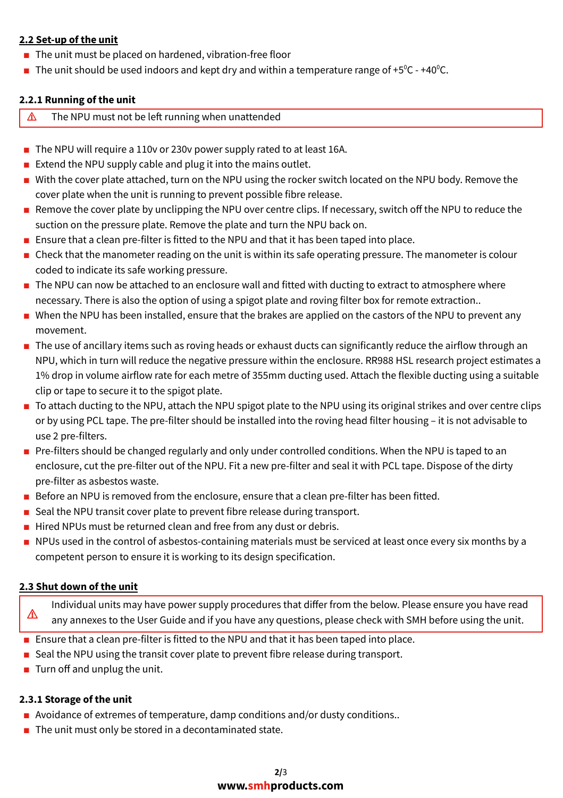## 2.2 Set-up of the unit

- The unit must be placed on hardened, vibration-free floor
- **The unit should be used indoors and kept dry and within a temperature range of +5<sup>o</sup>C +40<sup>o</sup>C.**

#### 2.2.1 Running of the unit

- $\triangle$  The NPU must not be left running when unattended
- The NPU will require a 110v or 230v power supply rated to at least 16A.
- Extend the NPU supply cable and plug it into the mains outlet.
- With the cover plate attached, turn on the NPU using the rocker switch located on the NPU body. Remove the cover plate when the unit is running to prevent possible fibre release.
- Remove the cover plate by unclipping the NPU over centre clips. If necessary, switch off the NPU to reduce the suction on the pressure plate. Remove the plate and turn the NPU back on.
- Ensure that a clean pre-filter is fitted to the NPU and that it has been taped into place.
- Check that the manometer reading on the unit is within its safe operating pressure. The manometer is colour coded to indicate its safe working pressure.
- The NPU can now be attached to an enclosure wall and fitted with ducting to extract to atmosphere where necessary. There is also the option of using a spigot plate and roving filter box for remote extraction..
- When the NPU has been installed, ensure that the brakes are applied on the castors of the NPU to prevent any movement.
- The use of ancillary items such as roving heads or exhaust ducts can significantly reduce the airflow through an NPU, which in turn will reduce the negative pressure within the enclosure. RR988 HSL research project estimates a 1% drop in volume airflow rate for each metre of 355mm ducting used. Attach the flexible ducting using a suitable clip or tape to secure it to the spigot plate.
- To attach ducting to the NPU, attach the NPU spigot plate to the NPU using its original strikes and over centre clips or by using PCL tape. The pre-filter should be installed into the roving head filter housing – it is not advisable to use 2 pre-filters.
- Pre-filters should be changed regularly and only under controlled conditions. When the NPU is taped to an enclosure, cut the pre-filter out of the NPU. Fit a new pre-filter and seal it with PCL tape. Dispose of the dirty pre-filter as asbestos waste.
- Before an NPU is removed from the enclosure, ensure that a clean pre-filter has been fitted.
- Seal the NPU transit cover plate to prevent fibre release during transport.
- Hired NPUs must be returned clean and free from any dust or debris.
- NPUs used in the control of asbestos-containing materials must be serviced at least once every six months by a competent person to ensure it is working to its design specification.

## 2.3 Shut down of the unit

⚠ Individual units may have power supply procedures that differ from the below. Please ensure you have read any annexes to the User Guide and if you have any questions, please check with SMH before using the unit.

- Ensure that a clean pre-filter is fitted to the NPU and that it has been taped into place.
- Seal the NPU using the transit cover plate to prevent fibre release during transport.
- Turn off and unplug the unit.

## 2.3.1 Storage of the unit

- Avoidance of extremes of temperature, damp conditions and/or dusty conditions..
- The unit must only be stored in a decontaminated state.